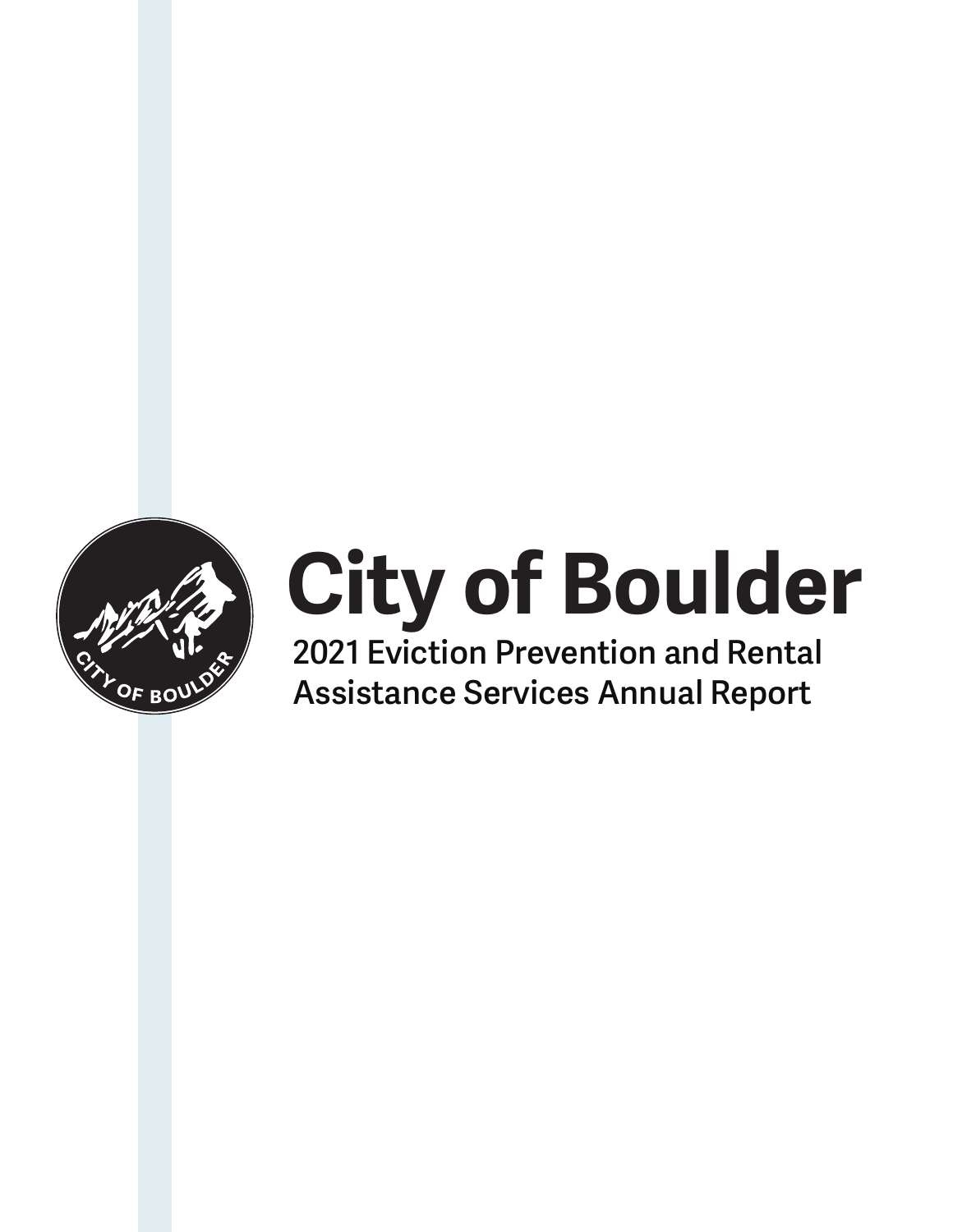

# **City of Boulder**

**2021 Eviction Prevention and Rental Assistance Services Annual Report**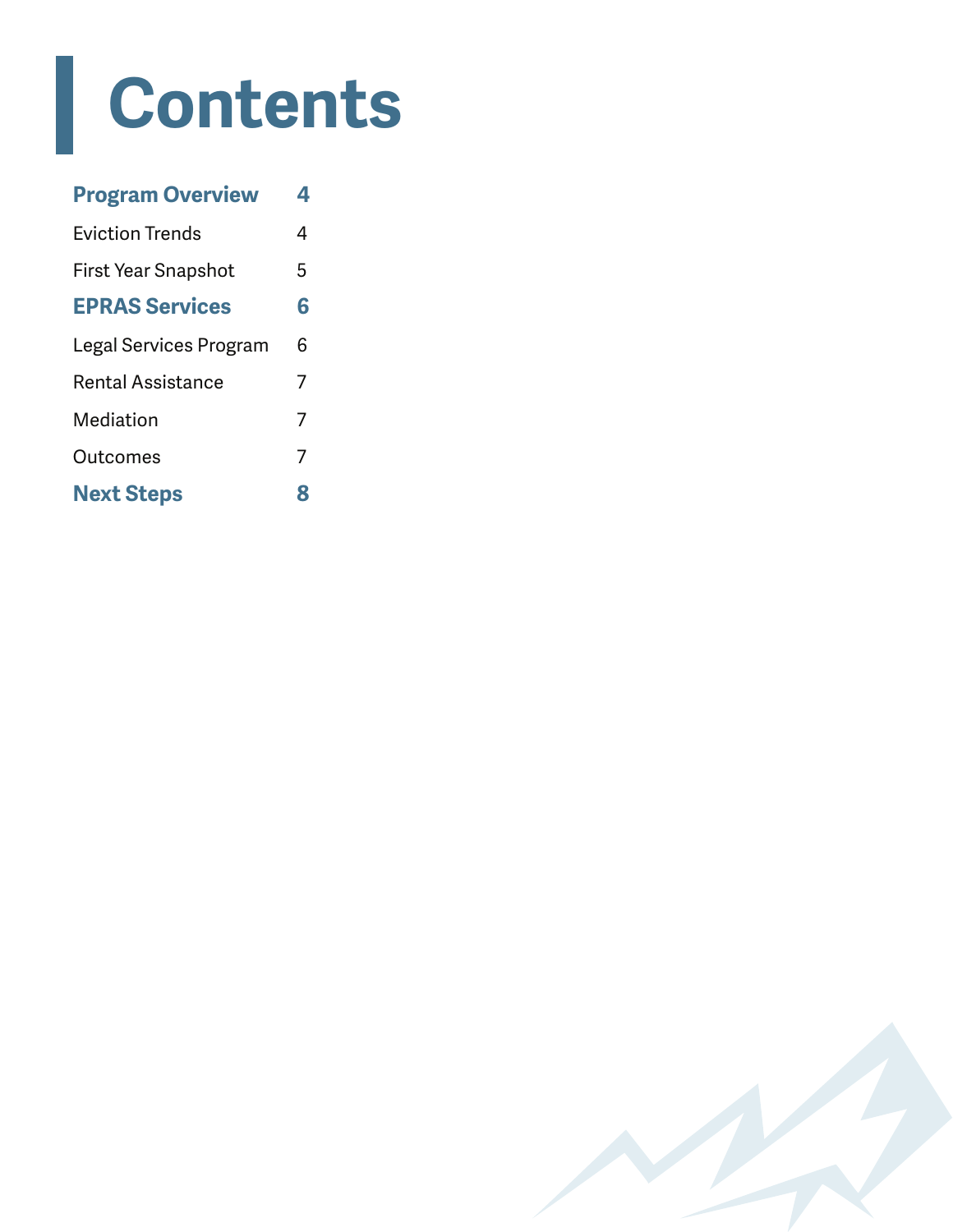### **Contents**

| <b>Program Overview</b>  | 4 |
|--------------------------|---|
| Eviction Trends          | 4 |
| First Year Snapshot      | 5 |
| <b>EPRAS Services</b>    | 6 |
| Legal Services Program   | 6 |
| <b>Rental Assistance</b> | 7 |
| Mediation                | 7 |
| Outcomes                 | 7 |
| <b>Next Steps</b>        | 8 |

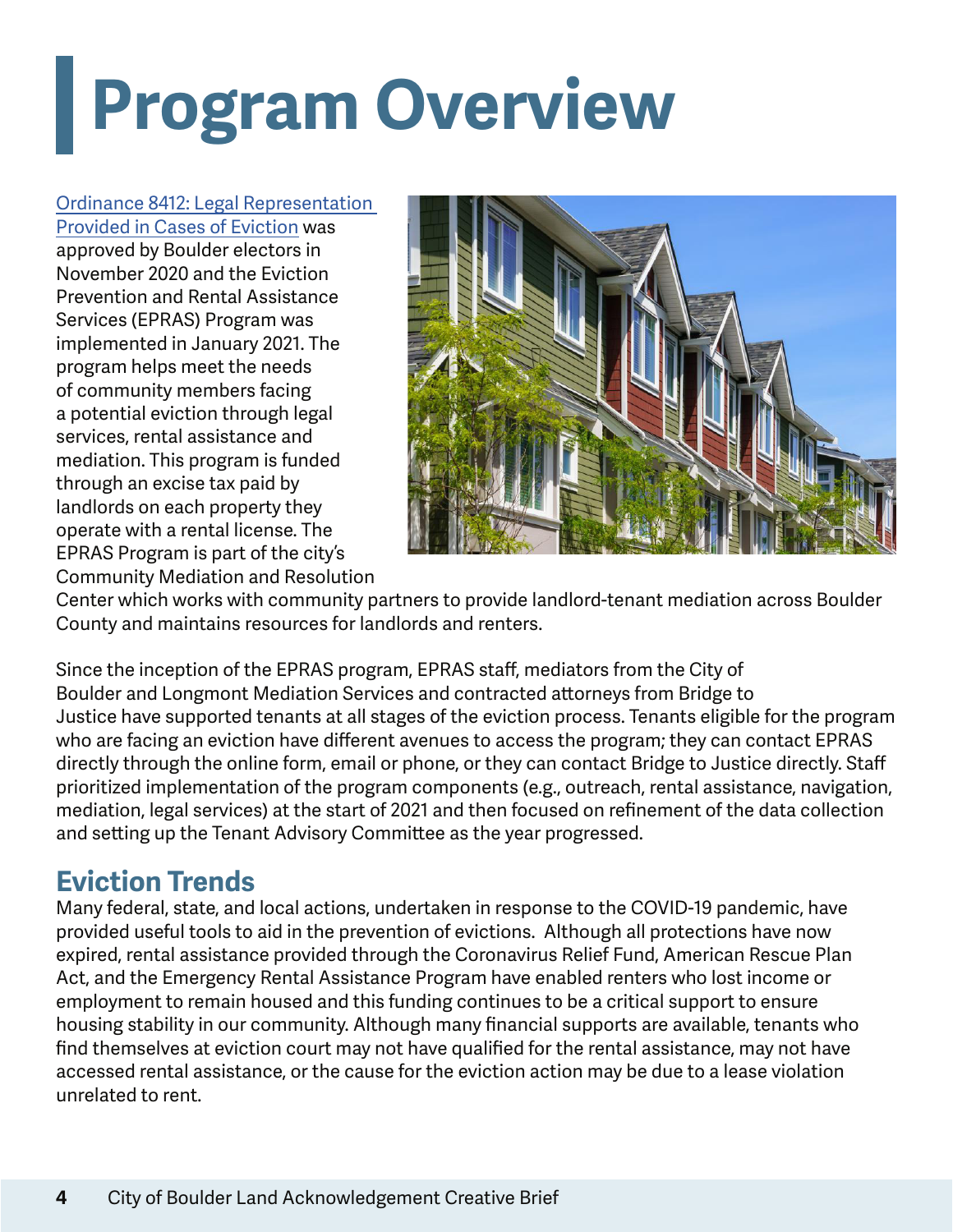## **Program Overview**

#### Ordinance 8412: Legal Representation

Provided in Cases of Eviction was approved by Boulder electors in November 2020 and the Eviction Prevention and Rental Assistance Services (EPRAS) Program was implemented in January 2021. The program helps meet the needs of community members facing a potential eviction through legal services, rental assistance and mediation. This program is funded through an excise tax paid by landlords on each property they operate with a rental license. The EPRAS Program is part of the city's Community Mediation and Resolution



Center which works with community partners to provide landlord-tenant mediation across Boulder County and maintains resources for landlords and renters.

Since the inception of the EPRAS program, EPRAS staff, mediators from the City of Boulder and Longmont Mediation Services and contracted attorneys from Bridge to Justice have supported tenants at all stages of the eviction process. Tenants eligible for the program who are facing an eviction have different avenues to access the program; they can contact EPRAS directly through the online form, email or phone, or they can contact Bridge to Justice directly. Staff prioritized implementation of the program components (e.g., outreach, rental assistance, navigation, mediation, legal services) at the start of 2021 and then focused on refinement of the data collection and setting up the Tenant Advisory Committee as the year progressed.

#### **Eviction Trends**

Many federal, state, and local actions, undertaken in response to the COVID-19 pandemic, have provided useful tools to aid in the prevention of evictions. Although all protections have now expired, rental assistance provided through the Coronavirus Relief Fund, American Rescue Plan Act, and the Emergency Rental Assistance Program have enabled renters who lost income or employment to remain housed and this funding continues to be a critical support to ensure housing stability in our community. Although many financial supports are available, tenants who find themselves at eviction court may not have qualified for the rental assistance, may not have accessed rental assistance, or the cause for the eviction action may be due to a lease violation unrelated to rent.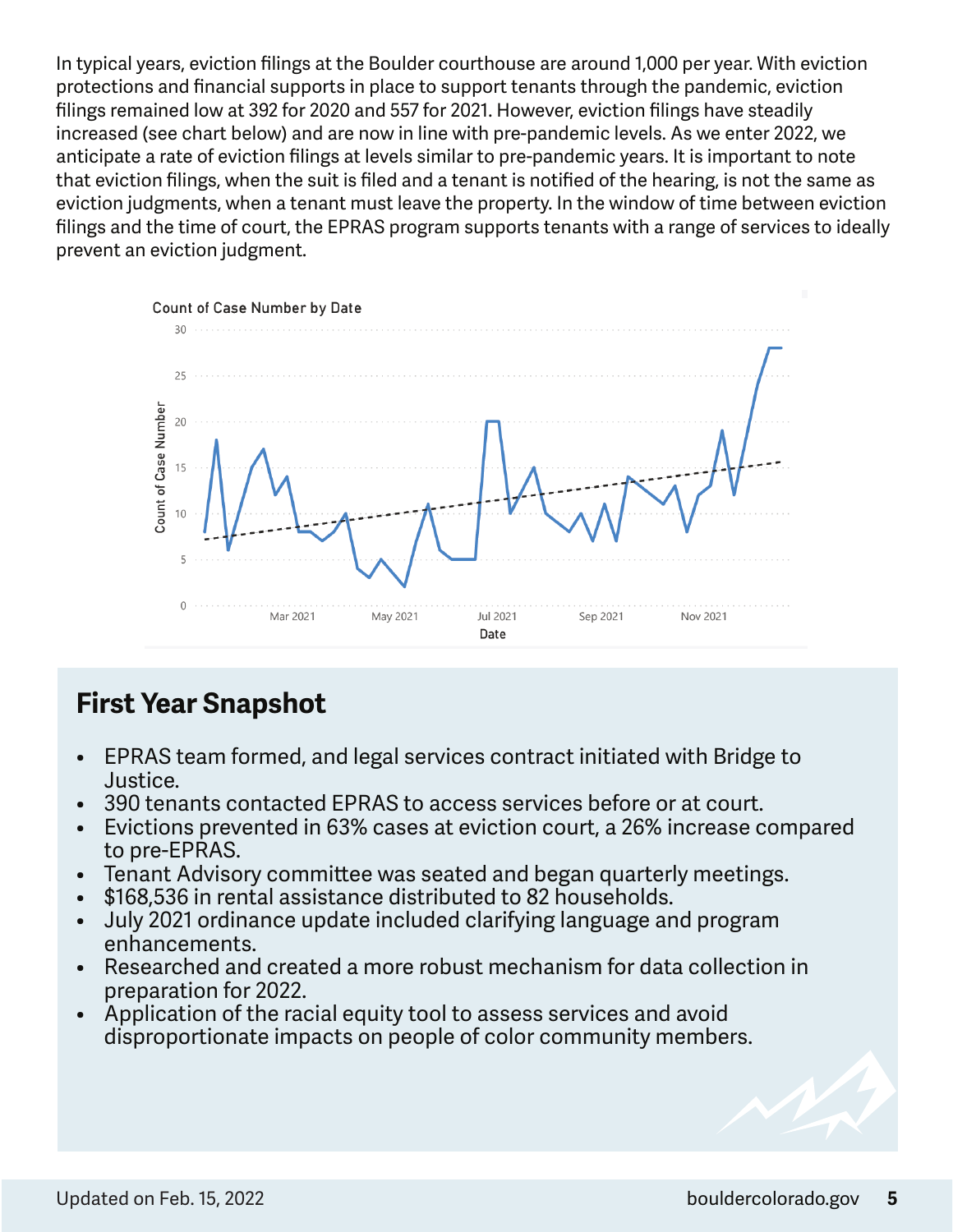In typical years, eviction filings at the Boulder courthouse are around 1,000 per year. With eviction protections and financial supports in place to support tenants through the pandemic, eviction filings remained low at 392 for 2020 and 557 for 2021. However, eviction filings have steadily increased (see chart below) and are now in line with pre-pandemic levels. As we enter 2022, we anticipate a rate of eviction filings at levels similar to pre-pandemic years. It is important to note that eviction filings, when the suit is filed and a tenant is notified of the hearing, is not the same as eviction judgments, when a tenant must leave the property. In the window of time between eviction filings and the time of court, the EPRAS program supports tenants with a range of services to ideally prevent an eviction judgment.



### **First Year Snapshot**

- EPRAS team formed, and legal services contract initiated with Bridge to Justice.
- 390 tenants contacted EPRAS to access services before or at court.
- Evictions prevented in 63% cases at eviction court, a 26% increase compared to pre-EPRAS.
- Tenant Advisory committee was seated and began quarterly meetings.
- \$168,536 in rental assistance distributed to 82 households.
- July 2021 ordinance update included clarifying language and program enhancements.
- Researched and created a more robust mechanism for data collection in preparation for 2022.
- Application of the racial equity tool to assess services and avoid disproportionate impacts on people of color community members.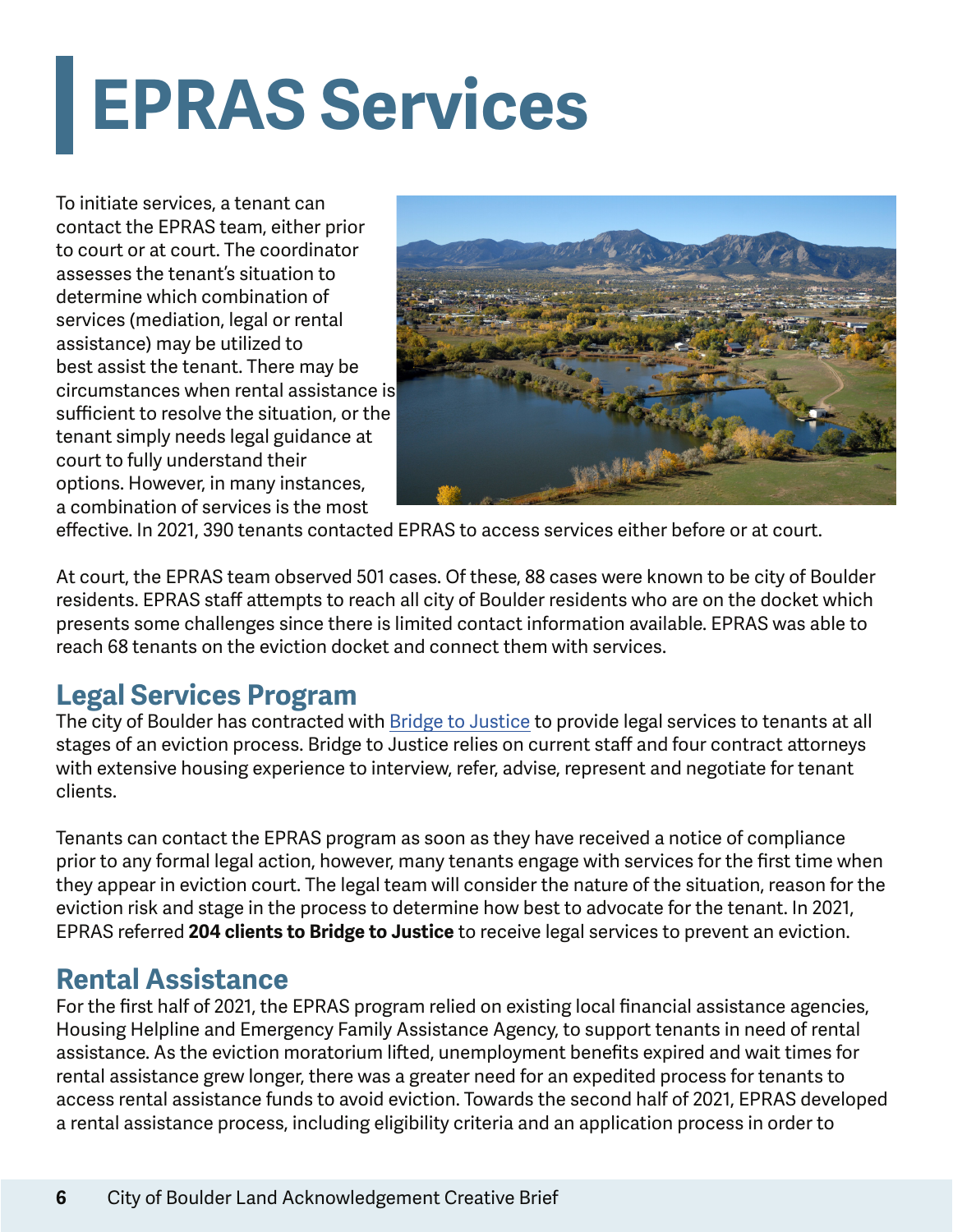### **EPRAS Services**

To initiate services, a tenant can contact the EPRAS team, either prior to court or at court. The coordinator assesses the tenant's situation to determine which combination of services (mediation, legal or rental assistance) may be utilized to best assist the tenant. There may be circumstances when rental assistance is sufficient to resolve the situation, or the tenant simply needs legal guidance at court to fully understand their options. However, in many instances, a combination of services is the most



effective. In 2021, 390 tenants contacted EPRAS to access services either before or at court.

At court, the EPRAS team observed 501 cases. Of these, 88 cases were known to be city of Boulder residents. EPRAS staff attempts to reach all city of Boulder residents who are on the docket which presents some challenges since there is limited contact information available. EPRAS was able to reach 68 tenants on the eviction docket and connect them with services.

### **Legal Services Program**

The city of Boulder has contracted with Bridge to Justice to provide legal services to tenants at all stages of an eviction process. Bridge to Justice relies on current staff and four contract attorneys with extensive housing experience to interview, refer, advise, represent and negotiate for tenant clients.

Tenants can contact the EPRAS program as soon as they have received a notice of compliance prior to any formal legal action, however, many tenants engage with services for the first time when they appear in eviction court. The legal team will consider the nature of the situation, reason for the eviction risk and stage in the process to determine how best to advocate for the tenant. In 2021, EPRAS referred **204 clients to Bridge to Justice** to receive legal services to prevent an eviction.

### **Rental Assistance**

For the first half of 2021, the EPRAS program relied on existing local financial assistance agencies, Housing Helpline and Emergency Family Assistance Agency, to support tenants in need of rental assistance. As the eviction moratorium lifted, unemployment benefits expired and wait times for rental assistance grew longer, there was a greater need for an expedited process for tenants to access rental assistance funds to avoid eviction. Towards the second half of 2021, EPRAS developed a rental assistance process, including eligibility criteria and an application process in order to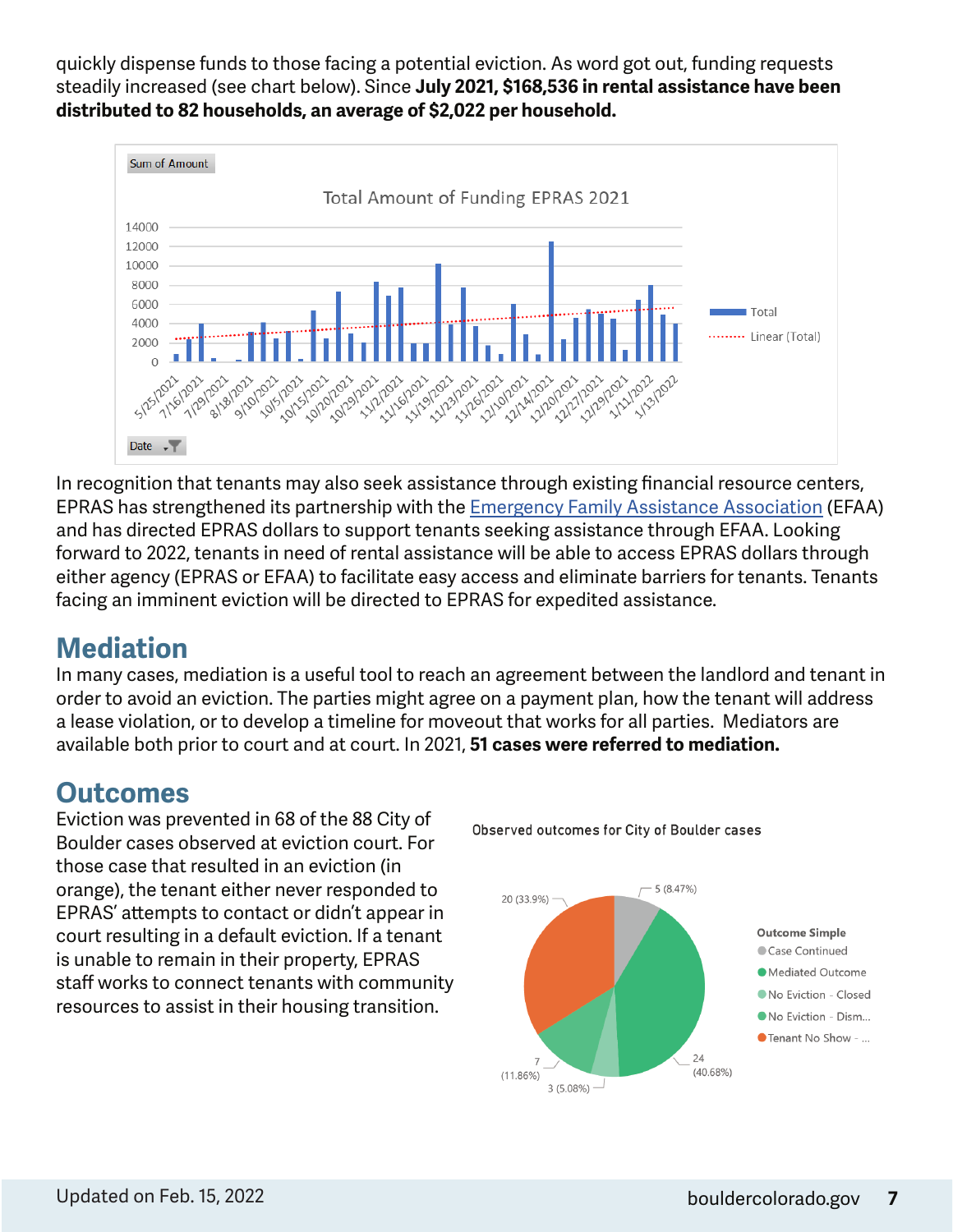quickly dispense funds to those facing a potential eviction. As word got out, funding requests steadily increased (see chart below). Since **July 2021, \$168,536 in rental assistance have been distributed to 82 households, an average of \$2,022 per household.** 



In recognition that tenants may also seek assistance through existing financial resource centers, EPRAS has strengthened its partnership with the Emergency Family Assistance Association (EFAA) and has directed EPRAS dollars to support tenants seeking assistance through EFAA. Looking forward to 2022, tenants in need of rental assistance will be able to access EPRAS dollars through either agency (EPRAS or EFAA) to facilitate easy access and eliminate barriers for tenants. Tenants facing an imminent eviction will be directed to EPRAS for expedited assistance.

### **Mediation**

In many cases, mediation is a useful tool to reach an agreement between the landlord and tenant in order to avoid an eviction. The parties might agree on a payment plan, how the tenant will address a lease violation, or to develop a timeline for moveout that works for all parties. Mediators are available both prior to court and at court. In 2021, **51 cases were referred to mediation.** 

### **Outcomes**

Eviction was prevented in 68 of the 88 City of Boulder cases observed at eviction court. For those case that resulted in an eviction (in orange), the tenant either never responded to EPRAS' attempts to contact or didn't appear in court resulting in a default eviction. If a tenant is unable to remain in their property, EPRAS staff works to connect tenants with community resources to assist in their housing transition.



Observed outcomes for City of Boulder cases